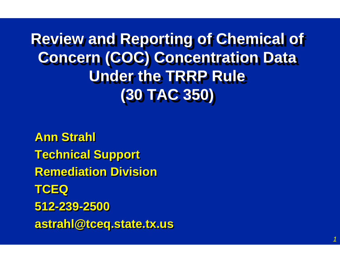**Review and Reporting of Chemical of Review and Reporting of Chemical of Concern (COC) Concentration Data Concern (COC) Concentration Data Under the TRRP Rule Under the TRRP Rule (30 TAC 350) (30 TAC 350)**

*1*

**Ann Strahl Ann Strahl Technical Support Technical Support Remediation DivisionRemediation DivisionTCEQ TCEQ 512-239-2500512-239-2500 astrahl@tceq.state.tx.us astrahl@tceq.state.tx.us**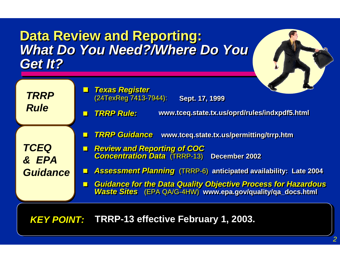#### **Data Review and Reporting: Data Review and Reporting:** *What Do You Need?/Where Do You What Do You Need?/Where Do You Get It?Get It?*

- $\mathbb{Z}$  *Texas Register Texas Register* (24TexReg 7413-7944): (24TexReg 7413-7944): **Sept. 17, 1999 Sept. 17, 1999**
- z *TRRP Rule: TRRP Rule:* **www.tceq.state.tx.us/oprd/rules/indxpdf5.html www.tceq.state.tx.us/oprd/rules/indxpdf5.html**
- J *TRRP Guidance* **www.tceq.state.tx.us/permitting/trrp.htm** *TRRP Guidance* **www.tceq.state.tx.us/permitting/trrp.htm**

*TCEQ & EPAGuidance*

*TRRP*

*Rule*

- *Review and Reporting of COC Concentration Data* (TRRP-13) **December 2002** *Review and Reporting of COC Concentration Data* (TRRP-13) **December 2002**
- *Assessment Planning* (TRRP-6) **anticipated availability: Late 2004** *Assessment Planning* (TRRP-6) **anticipated availability: Late 2004**
- $\mathbf{r}$  *Guidance for the Data Quality Objective Process for Hazardous Waste Sites* (EPA QA/G-4HW) **www.epa.gov/quality/qa\_docs.html** *Guidance for the Data Quality Objective Process for Hazardous Waste Sites* (EPA QA/G-4HW) **www.epa.gov/quality/qa\_docs.html**

*KEY POINT: KEY POINT:* **TRRP-13 effective February 1, 2003. TRRP-13 effective February 1, 2003.**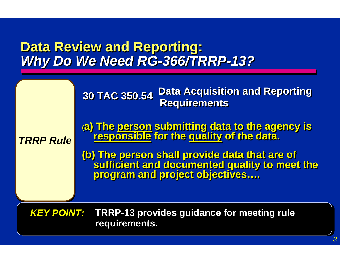#### **Data Review and Reporting: Data Review and Reporting:** *Why Do We Need RG-366/TRRP-13? Why Do We Need RG-366/TRRP-13?*

*TRRP Rule TRRP Rule*

**30 TAC 350.54 30 TAC 350.54Data Acquisition and Reporting Requirements** 

**(a) The person submitting data to the agency is (a) The person submitting data to the agency is responsible for the quality of the data. responsible for the quality of the data.**

**(b) The person shall provide data that are of (b) The person shall provide data that are of sufficient and documented quality to meet the sufficient and documented quality to meet the program and project objectives…. program and project objectives….**

*KEY POINT: KEY POINT:* **TRRP-13 provides guidance for meeting rule TRRP-13 provides guidance for meeting rule requirements. requirements.**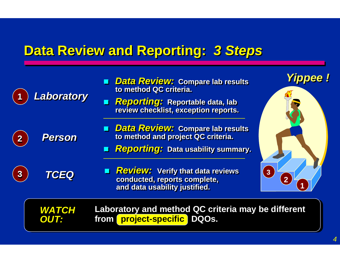# **Data Review and Reporting: 3 Steps**

|                         | Laboratory                  | <b>Data Review: Compare lab results</b><br>to method QC criteria.<br><b>Reporting:</b> Reportable data, lab<br>review checklist, exception reports. | Yippee                           |
|-------------------------|-----------------------------|-----------------------------------------------------------------------------------------------------------------------------------------------------|----------------------------------|
| $\overline{\mathbf{2}}$ | <b>Person</b>               | <b>Data Review: Compare lab results</b><br>П<br>to method and project QC criteria.<br><b>Reporting: Data usability summary.</b>                     |                                  |
| $\boldsymbol{3}$        | <b>TCEQ</b>                 | <b>Review: Verify that data reviews</b><br>conducted, reports complete,<br>and data usability justified.                                            | 3 <sup>1</sup><br>$\overline{2}$ |
|                         | <b>WATCH</b><br><b>OUT:</b> | Laboratory and method QC criteria may be different<br>project-specific<br>DQOS.<br>from <b>[</b>                                                    |                                  |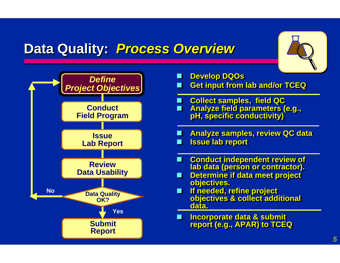#### **Data Quality: Process Overview**

m.

 $\blacksquare$ 

**De** 

П

 $\blacksquare$ 

m.

 $\blacksquare$ 



 **Conduct independent review of Conduct independent review of lab data (person or contractor). lab data (person or contractor). Determine if data meet project Determine if data meet project objectives. objectives. If needed, refine project If needed, refine project objectives & collect additional objectives & collect additional data. Develop DQOs Develop DQOs Get input from lab and/or TCEQ Get input from lab and/or TCEQ Incorporate data & submit report (e.g., APAR) to TCEQ Incorporate data & submit report (e.g., APAR) to TCEQ Collect samples, field QC Collect samples, field QC Analyze field parameters (e.g., pH, specific conductivity) Analyze field parameters (e.g., pH, specific conductivity) Analyze samples, review QC data Analyze samples, review QC data Issue lab report Issue lab report**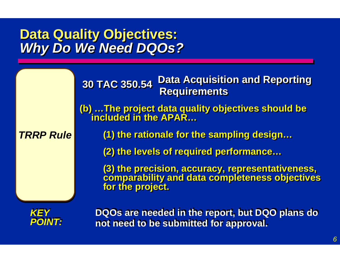#### **Data Quality Objectives:** *Why Do We Need DQOs?* **Data Quality Objectives:** *Why Do We Need DQOs?*

|                      | <b>Data Acquisition and Reporting</b><br>30 TAC 350.54<br><b>Requirements</b>                                          |
|----------------------|------------------------------------------------------------------------------------------------------------------------|
|                      | (b)  The project data quality objectives should be<br>included in the APAR                                             |
| <b>TRRP Rule</b>     | (1) the rationale for the sampling design                                                                              |
|                      | (2) the levels of required performance                                                                                 |
|                      | (3) the precision, accuracy, representativeness,<br>comparability and data completeness objectives<br>for the project. |
| <i><b>POINT:</b></i> | DQOs are needed in the report, but DQO plans do<br>not need to be submitted for approval.                              |

**not need to be submitted for approval. not need to be submitted for approval.**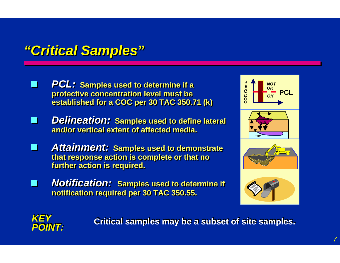#### *"Critical Samples" "Critical Samples"*

- $\mathcal{L}_{\mathcal{A}}$  *PCL:* **Samples used to determine if a** *PCL:* **Samples used to determine if a protective concentration level must be protective concentration level must be established for a COC per 30 TAC 350.71 (k) established for a COC per 30 TAC 350.71 (k)**
- *Delineation:* **Samples used to define lateral** *Delineation:* **Samples used to define lateral and/or vertical extent of affected media. and/or vertical extent of affected media.**
- $\mathbb{R}^2$  *Attainment:* **Samples used to demonstrate** *Attainment:* **Samples used to demonstrate that response action is complete or that no that response action is complete or that no further action is required. further action is required.**
- *Notification:* **Samples used to determine if** *Notification:* **Samples used to determine if notification required per 30 TAC 350.55. notification required per 30 TAC 350.55.**







**Critical samples may be a subset of site samples.**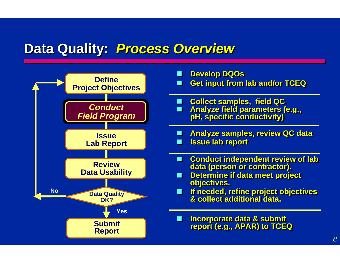#### **Data Quality: Process Overview**



- **Develop DQOs Develop DQOs Get input from lab and/or TCEQ Get input from lab and/or TCEQ** П  $\blacksquare$  **Collect samples, field QC Collect samples, field QC Analyze field parameters (e.g., pH, specific conductivity)**  $\blacksquare$  **Analyze field parameters (e.g., pH, specific conductivity) Analyze samples, review QC data Analyze samples, review QC data Issue lab report Issue lab report** ш  $\blacksquare$
- **Conduct independent review of lab Conduct independent review of lab data (person or contractor). data (person or contractor).** m.
- **Determine if data meet project Determine if data meet project objectives. objectives.** m.
- **If needed, refine project objectives & collect additional data. March If needed, refine project objectives & collect additional data.**
- **Incorporate data & submit Incorporate data & submit report (e.g., APAR) to TCEQ report (e.g., APAR) to TCEQ** ш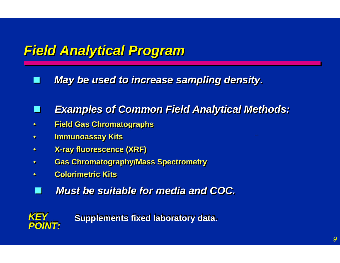#### *Field Analytical Program Field Analytical Program*

П *May be used to increase sampling density.* 

#### $\mathbf{r}$ *Examples of Common Field Analytical Methods: Examples of Common Field Analytical Methods:*

- ••**Field Gas Chromatographs Field Gas Chromatographs**
- ••**Immunoassay Kits Immunoassay Kits**
- ••**X-ray fluorescence (XRF) X-ray fluorescence (XRF)**
- ••**Gas Chromatography/Mass Spectrometry Gas Chromatography/Mass Spectrometry**
- ••**Colorimetric Kits Colorimetric Kits**
- $\mathbb{R}^2$ *Must be suitable for media and COC. Must be suitable for media and COC.*



**Supplements fixed laboratory data.**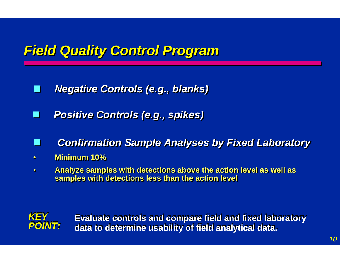## *Field Quality Control Program Field Quality Control Program*

- $\mathbf{r}$ *Negative Controls (e.g., blanks) Negative Controls (e.g., blanks)*
- I I *Positive Controls (e.g., spikes) Positive Controls (e.g., spikes)*
- *Confirmation Sample Analyses by Fixed Laboratory Confirmation Sample Analyses by Fixed Laboratory*
- ••**Minimum 10% Minimum 10%**
- •• **Analyze samples with detections above the action level as well as Analyze samples with detections above the action level as well as samples with detections less than the action level samples with detections less than the action level**



**Evaluate controls and compare field and fixed laboratory Evaluate controls and compare field and fixed laboratory data to determine usability of field analytical data. data to determine usability of field analytical data.**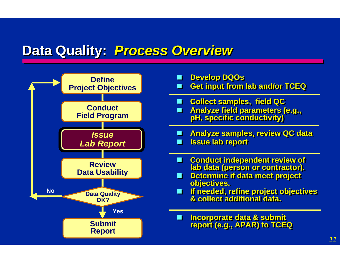#### **Data Quality: Process Overview**



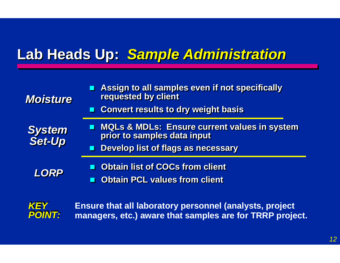# **Lab Heads Up: Sample Administration**

| <b>Moisture</b>         | Assign to all samples even if not specifically<br>requested by client<br><b>E</b> Convert results to dry weight basis               |
|-------------------------|-------------------------------------------------------------------------------------------------------------------------------------|
| <b>System</b><br>Set-Up | <b>NOLS &amp; MDLs: Ensure current values in system</b><br>prior to samples data input<br><b>Develop list of flags as necessary</b> |
| <b>LORP</b>             | <b>Obtain list of COCs from client</b><br><b>Obtain PCL values from client</b>                                                      |



**Ensure that all laboratory personnel (analysts, project managers, etc.) aware that samples are for TRRP project.**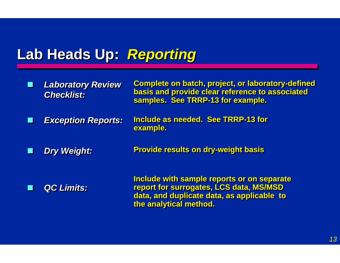#### Lab Heads Up: Reporting

 $\mathbb{R}^2$  *Laboratory Review Laboratory Review Checklist: Checklist:* **Complete on batch, project, or laboratory-defined Complete on batch, project, or laboratory-defined basis and provide clear reference to associated basis and provide clear reference to associated samples. See TRRP-13 for example. samples. See TRRP-13 for example. Include as needed. See TRRP-13 forInclude as needed. See TRRP-13 for example. example. Provide results on dry-weight basis Provide results on dry-weight basis Include with sample reports or on separate Include with sample reports or on separate report for surrogates, LCS data, MS/MSD report for surrogates, LCS data, MS/MSD data, and duplicate data, as applicable to data, and duplicate data, as applicable to the analytical method. the analytical method.** П *Exception Reports: Exception Reports:* П *Dry Weight: Dry Weight:* П *QC Limits: QC Limits:*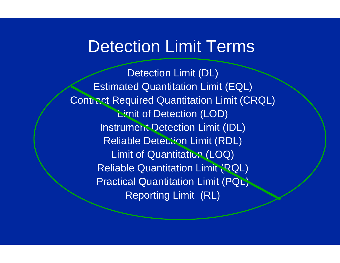# **Detection Limit Terms**

Detection Limit (DL) Estimated Quantitation Limit (EQL) Contract Required Quantitation Limit (CRQL) **Limit of Detection (LOD)** Instrument Detection Limit (IDL) Reliable Detection Limit (RDL) Limit of Quantitation (LOQ) Reliable Quantitation Limit (RQL) **Practical Quantitation Limit (PQL)** Reporting Limit (RL)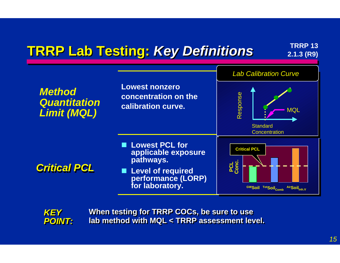# **TRRP Lab Testing: Key Definitions TRRP 13** *CALLS RRP 13 RRP 13 RRP 13*





**When testing for TRRP COCs, be sure to use When testing for TRRP COCs, be sure to use lab method with MQL < TRRP assessment level. lab method with MQL < TRRP assessment level.**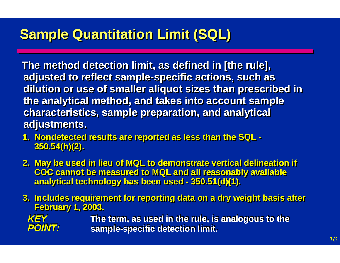# **Sample Quantitation Limit (SQL) Sample Quantitation Limit (SQL)**

**The method detection limit, as defined in [the rule], The method detection limit, as defined in [the rule], adjusted to reflect sample-specific actions, such as adjusted to reflect sample-specific actions, such as dilution or use of smaller aliquot sizes than prescribed in dilution or use of smaller aliquot sizes than prescribed in the analytical method, and takes into account sample the analytical method, and takes into account sample characteristics, sample preparation, and analytical characteristics, sample preparation, and analytical adjustments. adjustments.**

- **1. Nondetected results are reported as less than the SQL - 1. Nondetected results are reported as less than the SQL - 350.54(h)(2). 350.54(h)(2).**
- **2. May be used in lieu of MQL to demonstrate vertical delineation if 2. May be used in lieu of MQL to demonstrate vertical delineation if COC cannot be measured to MQL and all reasonably available COC cannot be measured to MQL and all reasonably available analytical technology has been used - 350.51(d)(1). analytical technology has been used - 350.51(d)(1).**
- **3. Includes requirement for reporting data on a dry weight basis after 3. Includes requirement for reporting data on a dry weight basis after February 1, 2003. February 1, 2003.**

*KEY KEYPOINT: POINT:* **The term, as used in the rule, is analogous to the The term, as used in the rule, is analogous to the sample-specific detection limit. sample-specific detection limit.**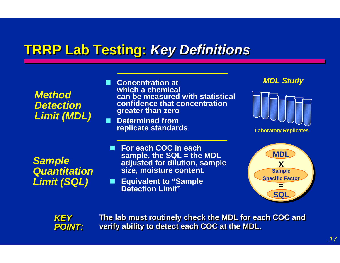## **TRRP Lab Testing:** *Key Definitions*

#### *Method DetectionLimit (MDL)*

 **Concentration at which a chemicalcan be measured with statisticalconfidence that concentrationgreater than zero**

■ Determined from **replicate standards**

#### *MDL Study*



*Sample Quantitation Limit (SQL)*

- **For each COC in each sample, the SQL = the MDL adjusted for dilution, sample size, moisture content.**
- Equivalent to "Sample **Detection Limit"**





**The lab must routinely check the MDL for each COC and The lab must routinely check the MDL for each COC and verify ability to detect each COC at the MDL. verify ability to detect each COC at the MDL.**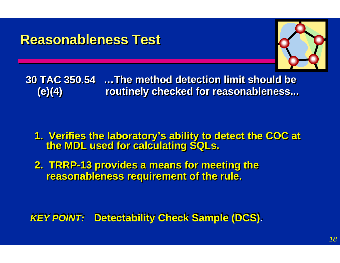#### **Reasonableness Test Reasonableness Test**



**30 TAC 350.5430 TAC 350.54 …The method detection limit should be…The method detection limit should be (e)(4) (e)(4) routinely checked for reasonableness... routinely checked for reasonableness...**

**1. Verifies the laboratory's ability to detect the COC at the MDL used for calculating SQLs. 1. Verifies the laboratory's ability to detect the COC at the MDL used for calculating SQLs.**

**2. TRRP-13 provides a means for meeting the 2. TRRP-13 provides a means for meeting the reasonableness requirement of the rule. reasonableness requirement of the rule.**

**KEY POINT: Detectability Check Sample (DCS).**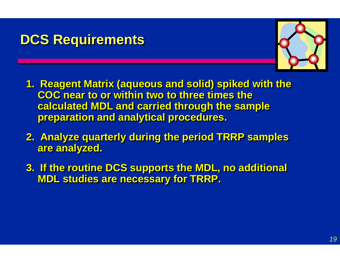#### **DCS Requirements DCS Requirements**



- **1. Reagent Matrix (aqueous and solid) spiked with the 1. Reagent Matrix (aqueous and solid) spiked with the COC near to or within two to three times the calculated MDL and carried through the sample calculated MDL and carried through the sample preparation and analytical procedures. preparation and analytical procedures.**
- **2. Analyze quarterly during the period TRRP samples 2. Analyze quarterly during the period TRRP samples are analyzed. are analyzed.**
- **3. If the routine DCS supports the MDL, no additional 3. If the routine DCS supports the MDL, no additional MDL studies are necessary for TRRP. MDL studies are necessary for TRRP.**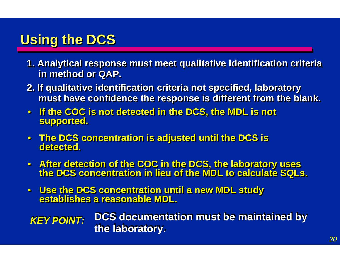## **Using the DCS**

- **1. Analytical response must meet qualitative identification criteria 1. Analytical response must meet qualitative identification criteria in method or QAP. in method or QAP.**
- **2. If qualitative identification criteria not specified, laboratory 2. If qualitative identification criteria not specified, laboratory must have confidence the response is different from the blank. must have confidence the response is different from the blank.**
- $\bullet$  **If the COC is not detected in the DCS, the MDL is not If the COC is not detected in the DCS, the MDL is not supported. supported.**
- **The DCS concentration is adjusted until the DCS is The DCS concentration is adjusted until the DCS is detected. detected.**
- $\bullet$  **After detection of the COC in the DCS, the laboratory uses the DCS concentration in lieu of the MDL to calculate SQLs. After detection of the COC in the DCS, the laboratory uses the DCS concentration in lieu of the MDL to calculate SQLs.**
- $\bullet$  **Use the DCS concentration until a new MDL study Use the DCS concentration until a new MDL study establishes a reasonable MDL. establishes a reasonable MDL.**

*KEY POINT:* **DCS documentation must be maintained by the laboratory.**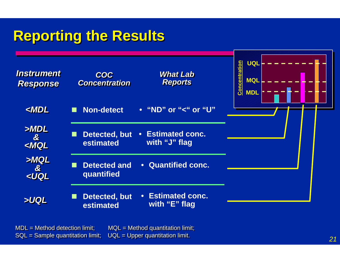# **Reporting the Results Reporting the Results**



MDL = Method detection limit; MQL = Method quantitation limit; MDL = Method detection limit; MQL = Method quantitation limit; SQL = Sample quantitation limit; UQL = Upper quantitation limit. SQL = Sample quantitation limit; UQL = Upper quantitation limit.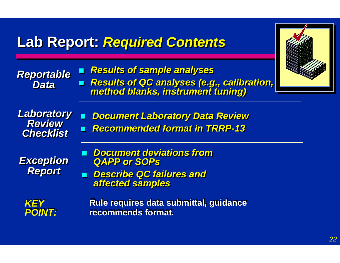#### **Lab Report: Lab Report:** *Required Contents Required Contents*

*Reportable Reportable DataData Results of sample analyses Results of sample analyses* ш *Results of QC analyses (e.g., calibration, method blanks, instrument tuning) Results of QC analyses (e.g., calibration, method blanks, instrument tuning) Laboratory Laboratory ReviewReview Checklist Checklist*  $\mathbb{R}^2$  *Document Laboratory Data Review Document Laboratory Data Review*  $\mathbf{r}$  *Recommended format in TRRP-13 Recommended format in TRRP-13 Exception Exception Report Report Document deviations from Document deviations from QAPP or SOPs QAPP or SOPs Describe QC failures and Describe QC failures and affected samples affected samples KEY KEYPOINT: POINT:* **Rule requires data submittal, guidance Rule requires data submittal, guidance recommends format. recommends format.**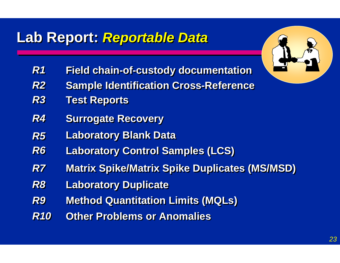## Lab Report: **Reportable Data**

- *R1R1***Field chain-of-custody documentation Field chain-of-custody documentation**
- *R2R2***Sample Identification Cross-Reference**
- *R3R3***Test Reports Test Reports**
- *R4R4***Surrogate Recovery Surrogate Recovery**
- *R5R5***Laboratory Blank Data**
- *R6R6***Laboratory Control Samples (LCS) Laboratory Control Samples (LCS)**
- *R7R7***Matrix Spike/Matrix Spike Duplicates (MS/MSD)**
- *R8R8***Laboratory Duplicate Laboratory Duplicate**
- *R9R9***Method Quantitation Limits (MQLs)**
- *R10 R10***Other Problems or Anomalies**

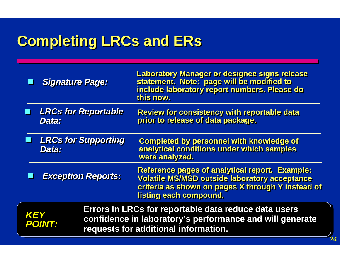# **Completing LRCs and ERs**

| <b>LRCs for Reportable</b><br><b>Review for consistency with reportable data</b><br>prior to release of data package.<br>Data:<br><b>LRCs for Supporting</b><br><b>Completed by personnel with knowledge of</b><br>analytical conditions under which samples<br>Data:<br>were analyzed.<br><b>Exception Reports:</b><br>listing each compound.<br>Errors in LRCs for reportable data reduce data users |            | <b>Signature Page:</b> | <b>Laboratory Manager or designee signs release</b><br>statement. Note: page will be modified to<br>include laboratory report numbers. Please do<br>this now.      |
|--------------------------------------------------------------------------------------------------------------------------------------------------------------------------------------------------------------------------------------------------------------------------------------------------------------------------------------------------------------------------------------------------------|------------|------------------------|--------------------------------------------------------------------------------------------------------------------------------------------------------------------|
|                                                                                                                                                                                                                                                                                                                                                                                                        |            |                        |                                                                                                                                                                    |
|                                                                                                                                                                                                                                                                                                                                                                                                        |            |                        |                                                                                                                                                                    |
|                                                                                                                                                                                                                                                                                                                                                                                                        |            |                        | <b>Reference pages of analytical report. Example:</b><br><b>Volatile MS/MSD outside laboratory acceptance</b><br>criteria as shown on pages X through Y instead of |
| confidence in laboratory's performance and will generate<br><b>POINT:</b><br>requests for additional information.                                                                                                                                                                                                                                                                                      | <b>KEY</b> |                        |                                                                                                                                                                    |

*24*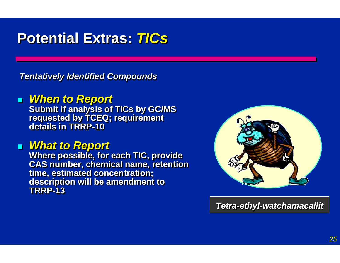# **Potential Extras: Potential Extras:** *TICs*

*Tentatively Identified Compounds Tentatively Identified Compounds*

#### *When to Report When to Report*

**Submit if analysis of TICs by GC/MS Submit if analysis of TICs by GC/MS requested by TCEQ; requirement details in TRRP-10requested by TCEQ; requirement details in TRRP-10**

#### *What to Report What to Report*

**Where possible, for each TIC, provide Where possible, for each TIC, provide CAS number, chemical name, retention CAS number, chemical name, retention time, estimated concentration; time, estimated concentration; description will be amendment to description will be amendment to TRRP-13TRRP-13**



*Tetra-ethyl-watchamacallit Tetra-ethyl-watchamacallit*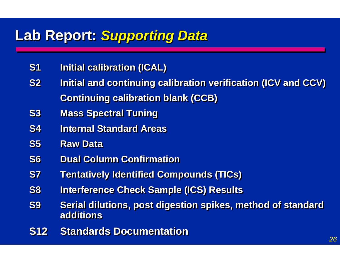#### **Lab Report: Lab Report:** *Supporting Data Supporting Data*

- **S1 Initial calibration (ICAL) S1 Initial calibration (ICAL)**
- **S2 Initial and continuing calibration verification (ICV and CCV) S2 Initial and continuing calibration verification (ICV and CCV) Continuing calibration blank (CCB) Continuing calibration blank (CCB)**
- **S3 Mass Spectral Tuning S3 Mass Spectral Tuning**
- **S4 Internal Standard Areas**
- **S5** Raw Data
- **S6 Dual Column ConfirmationS6 Dual Column Confirmation**
- **S7 Tentatively Identified Compounds (TICs) S7 Tentatively Identified Compounds (TICs)**
- **S8 Interference Check Sample (ICS) Results S8 Interference Check Sample (ICS) Results**
- **S9 Serial dilutions, post digestion spikes, method of standard S9 Serial dilutions, post digestion spikes, method of standard additionsadditions**
- **S12 Standards Documentation**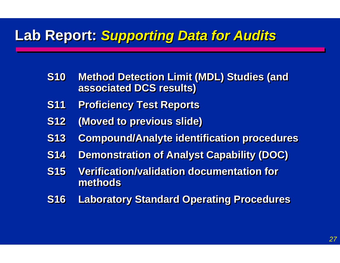#### **Lab Report: Supporting Data for Audits**

- **S10 Method Detection Limit (MDL) Studies (and S10 Method Detection Limit (MDL) Studies (and associated DCS results) associated DCS results)**
- **S11 Proficiency Test Reports S11 Proficiency Test Reports**
- **S12 (Moved to previous slide) S12 (Moved to previous slide)**
- **S13 Compound/Analyte identification procedures S13 Compound/Analyte identification procedures**
- **S14 Demonstration of Analyst Capability (DOC) S14 Demonstration of Analyst Capability (DOC)**
- **S15 Verification/validation documentation for S15 Verification/validation documentation for methodsmethods**
- **S16 Laboratory Standard Operating Procedures S16 Laboratory Standard Operating Procedures**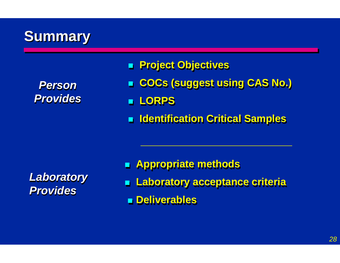# **Summary Summary**

| <b>Person</b>   |
|-----------------|
| <b>Provides</b> |

#### **Project Objectives Project Objectives**

- **COCs (suggest using CAS No.) COCs (suggest using CAS No.)**
- **LORPS LORPS**
- **Identification Critical Samples Identification Critical Samples**

*Laboratory Laboratory ProvidesProvides*

- **Appropriate methods Appropriate methods** e. **Laboratory acceptance criteria Laboratory acceptance criteria**
	- **E** Deliverables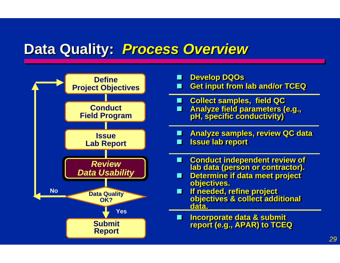#### **Data Quality: Process Overview**

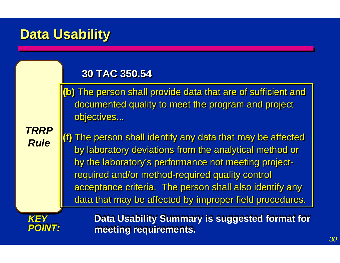#### **Data Usability Data Usability**

#### **30 TAC 350.54 30 TAC 350.54**

**(b)** The person shall provide data that are of sufficient and **(b)** The person shall provide data that are of sufficient and documented quality to meet the program and project documented quality to meet the program and project objectives... objectives...

*TRRPTRRPRuleRule*

**(f)** The person shall identify any data that may be affected **(f)** The person shall identify any data that may be affected by laboratory deviations from the analytical method or by laboratory deviations from the analytical method or by the laboratory's performance not meeting project-by the laboratory's performance not meeting projectrequired and/or method-required quality control required and/or method-required quality control acceptance criteria. The person shall also identify any acceptance criteria. The person shall also identify any data that may be affected by improper field procedures. data that may be affected by improper field procedures.



**Data Usability Summary is suggested format for Data Usability Summary is suggested format for meeting requirements. meeting requirements.**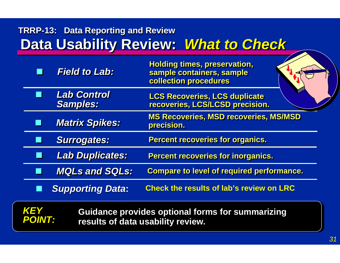#### **Data Usability Review: What to Check TRRP-13: Data Reporting and Review**

|                                                                                                                             | <b>Field to Lab:</b>                  | <b>Holding times, preservation,</b><br>sample containers, sample<br>collection procedures |  |
|-----------------------------------------------------------------------------------------------------------------------------|---------------------------------------|-------------------------------------------------------------------------------------------|--|
| ш                                                                                                                           | <b>Lab Control</b><br><b>Samples:</b> | <b>LCS Recoveries, LCS duplicate</b><br>recoveries, LCS/LCSD precision.                   |  |
|                                                                                                                             | <b>Matrix Spikes:</b>                 | <b>MS Recoveries, MSD recoveries, MS/MSD</b><br>precision.                                |  |
|                                                                                                                             | <b>Surrogates:</b>                    | <b>Percent recoveries for organics.</b>                                                   |  |
| Ш                                                                                                                           | <b>Lab Duplicates:</b>                | <b>Percent recoveries for inorganics.</b>                                                 |  |
|                                                                                                                             | <b>MQLs and SQLs:</b>                 | <b>Compare to level of required performance.</b>                                          |  |
|                                                                                                                             | <b>Supporting Data:</b>               | <b>Check the results of lab's review on LRC</b>                                           |  |
| <b>KEY</b><br><b>Guidance provides optional forms for summarizing</b><br><b>POINT:</b><br>results of data usability review. |                                       |                                                                                           |  |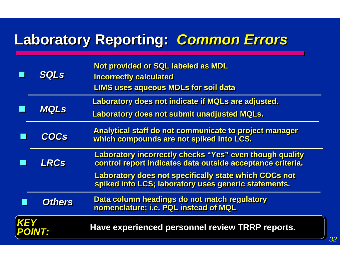# **Laboratory Reporting: Common Errors**

|             | <b>SQLs</b>   | Not provided or SQL labeled as MDL<br><b>Incorrectly calculated</b><br><b>LIMS uses aqueous MDLs for soil data</b>           |
|-------------|---------------|------------------------------------------------------------------------------------------------------------------------------|
| <b>MQLS</b> |               | <b>Laboratory does not indicate if MQLs are adjusted.</b>                                                                    |
|             |               | <b>Laboratory does not submit unadjusted MQLs.</b>                                                                           |
|             | <b>COCs</b>   | Analytical staff do not communicate to project manager<br>which compounds are not spiked into LCS.                           |
|             | <b>LRCs</b>   | <b>Laboratory incorrectly checks "Yes" even though quality</b><br>control report indicates data outside acceptance criteria. |
|             |               | <b>Laboratory does not specifically state which COCs not</b><br>spiked into LCS; laboratory uses generic statements.         |
|             | <b>Others</b> | Data column headings do not match regulatory<br>nomenclature; i.e. PQL instead of MQL                                        |
| <b>KEY</b>  | <b>POINT:</b> | Have experienced personnel review TRRP reports.                                                                              |
|             |               |                                                                                                                              |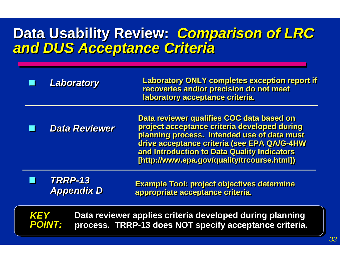#### **Data Usability Review:** *Comparison of LRC* **Data Usability Review:** *Comparison of LRC and DUS Acceptance Criteria and DUS Acceptance Criteria*

|                                                                                                                                                   | <b>Laboratory</b>                   | <b>Laboratory ONLY completes exception report if</b><br>recoveries and/or precision do not meet<br>laboratory acceptance criteria.                                                                                                                                                    |
|---------------------------------------------------------------------------------------------------------------------------------------------------|-------------------------------------|---------------------------------------------------------------------------------------------------------------------------------------------------------------------------------------------------------------------------------------------------------------------------------------|
|                                                                                                                                                   | <b>Data Reviewer</b>                | Data reviewer qualifies COC data based on<br>project acceptance criteria developed during<br>planning process. Intended use of data must<br>drive acceptance criteria (see EPA QA/G-4HW<br>and Introduction to Data Quality Indicators<br>[http://www.epa.gov/quality/trcourse.html]) |
|                                                                                                                                                   | <b>TRRP-13</b><br><b>Appendix D</b> | <b>Example Tool: project objectives determine</b><br>appropriate acceptance criteria.                                                                                                                                                                                                 |
| Data reviewer applies criteria developed during planning<br><b>KEY</b><br><b>POINT:</b><br>process. TRRP-13 does NOT specify acceptance criteria. |                                     |                                                                                                                                                                                                                                                                                       |
|                                                                                                                                                   |                                     |                                                                                                                                                                                                                                                                                       |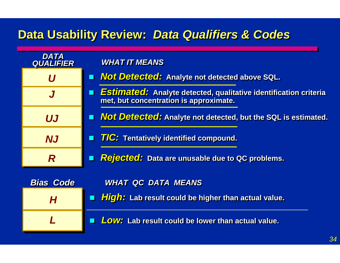#### **Data Usability Review: Data Qualifiers & Codes**

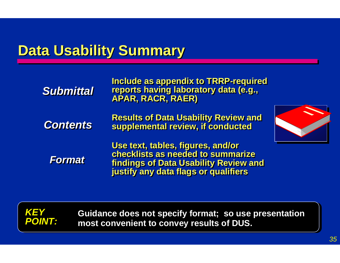## **Data Usability Summary**

| <b>Submittal</b> | Include as appendix to TRRP-required<br>reports having laboratory data (e.g.,                                                                                  |  |
|------------------|----------------------------------------------------------------------------------------------------------------------------------------------------------------|--|
| <b>Contents</b>  | <b>Results of Data Usability Review and<br/>supplemental review, if conducted</b>                                                                              |  |
| <b>Format</b>    | Use text, tables, figures, and/or<br>checklists as needed to summarize<br><b>findings of Data Usability Review and</b><br>justify any data flags or qualifiers |  |





**Guidance does not specify format; so use presentation Guidance does not specify format; so use presentation most convenient to convey results of DUS. most convenient to convey results of DUS.**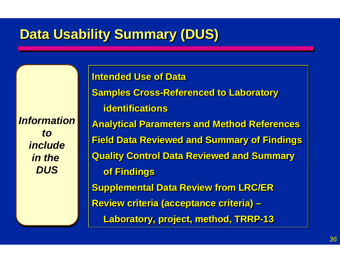# **Data Usability Summary (DUS)**

*InformationInformationtotoincludeincludein the in the DUSDUS*

**Intended Use of Data Samples Cross-Referenced to Laboratory Samples Cross-Referenced to Laboratory identificationsidentifications Analytical Parameters and Method References Analytical Parameters and Method References Field Data Reviewed and Summary of Findings Field Data Reviewed and Summary of Findings Quality Control Data Reviewed and Summary Quality Control Data Reviewed and Summary of Findings of Findings Supplemental Data Review from LRC/ER Supplemental Data Review from LRC/ER Review criteria (acceptance criteria) – Review criteria (acceptance criteria) – Laboratory, project, method, TRRP-13 Laboratory, project, method, TRRP-13**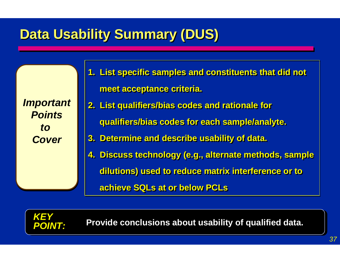# **Data Usability Summary (DUS)**

*Important Important PointsPointsto to Cover Cover*

*KEY KEY*

*POINT:*

- **1. List specific samples and constituents that did not 1. List specific samples and constituents that did not meet acceptance criteria. meet acceptance criteria. 2. List qualifiers/bias codes and rationale for 2. List qualifiers/bias codes and rationale for qualifiers/bias codes for each sample/analyte. qualifiers/bias codes for each sample/analyte.**
- **3. Determine and describe usability of data. 3. Determine and describe usability of data.**
- **4. Discuss technology (e.g., alternate methods, sample 4. Discuss technology (e.g., alternate methods, sample dilutions) used to reduce matrix interference or to dilutions) used to reduce matrix interference or to**

**achieve SQLs at or below PCLs achieve SQLs at or below PCLs**

**Provide conclusions about usability of qualified data.**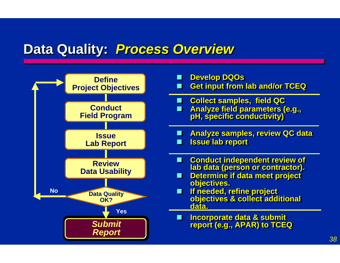#### **Data Quality: Process Overview**

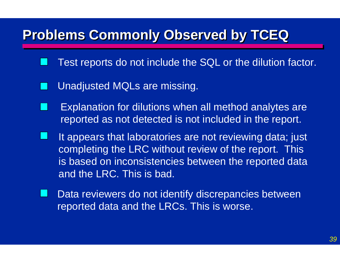#### **Problems Commonly Observed by TCEQ Problems Commonly Observed by TCEQ Problems Commonly Observed by TCEQ**

- Test reports do not include the SQL or the dilution factor.
- Unadjusted MQLs are missing.
- Explanation for dilutions when all method analytes are reported as not detected is not included in the report.
- It appears that laboratories are not reviewing data; just completing the LRC without review of the report. This is based on inconsistencies between the reported data and the LRC. This is bad.
- Data reviewers do not identify discrepancies between reported data and the LRCs. This is worse.